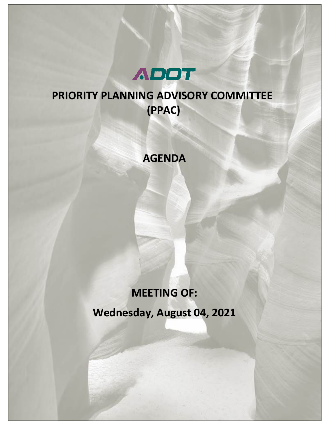

## **PRIORITY PLANNING ADVISORY COMMITTEE (PPAC)**

### **AGENDA**

# **MEETING OF: Wednesday, August 04, 2021**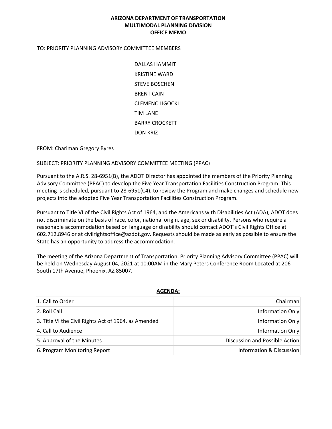#### **ARIZONA DEPARTMENT OF TRANSPORTATION MULTIMODAL PLANNING DIVISION OFFICE MEMO**

#### TO: PRIORITY PLANNING ADVISORY COMMITTEE MEMBERS

DALLAS HAMMIT KRISTINE WARD STEVE BOSCHEN BRENT CAIN CLEMENC LIGOCKI TIM LANE BARRY CROCKETT DON KRIZ

FROM: Chariman Gregory Byres

SUBJECT: PRIORITY PLANNING ADVISORY COMMITTEE MEETING (PPAC)

Pursuant to the A.R.S. 28-6951(B), the ADOT Director has appointed the members of the Priority Planning Advisory Committee (PPAC) to develop the Five Year Transportation Facilities Construction Program. This meeting is scheduled, pursuant to 28-6951(C4), to review the Program and make changes and schedule new projects into the adopted Five Year Transportation Facilities Construction Program.

Pursuant to Title VI of the Civil Rights Act of 1964, and the Americans with Disabilities Act (ADA), ADOT does not discriminate on the basis of race, color, national origin, age, sex or disability. Persons who require a reasonable accommodation based on language or disability should contact ADOT's Civil Rights Office at 602.712.8946 or at civilrightsoffice@azdot.gov. Requests should be made as early as possible to ensure the State has an opportunity to address the accommodation.

The meeting of the Arizona Department of Transportation, Priority Planning Advisory Committee (PPAC) will be held on Wednesday August 04, 2021 at 10:00AM in the Mary Peters Conference Room Located at 206 South 17th Avenue, Phoenix, AZ 85007.

| 1. Call to Order                                     | Chairman                       |  |  |  |  |  |
|------------------------------------------------------|--------------------------------|--|--|--|--|--|
| 2. Roll Call                                         | Information Only               |  |  |  |  |  |
| 3. Title VI the Civil Rights Act of 1964, as Amended | Information Only               |  |  |  |  |  |
| 4. Call to Audience                                  | Information Only               |  |  |  |  |  |
| 5. Approval of the Minutes                           | Discussion and Possible Action |  |  |  |  |  |
| 6. Program Monitoring Report                         | Information & Discussion       |  |  |  |  |  |

#### **AGENDA:**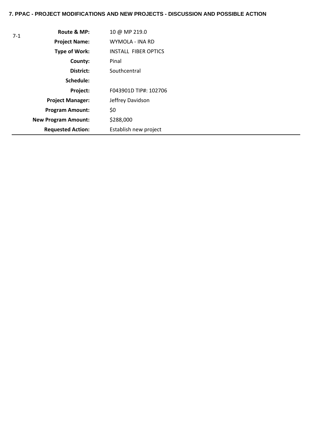#### **7. PPAC - PROJECT MODIFICATIONS AND NEW PROJECTS - DISCUSSION AND POSSIBLE ACTION**

| $7-1$ | Route & MP:                | 10 @ MP 219.0               |
|-------|----------------------------|-----------------------------|
|       | <b>Project Name:</b>       | WYMOLA - INA RD             |
|       | Type of Work:              | <b>INSTALL FIBER OPTICS</b> |
|       | County:                    | Pinal                       |
|       | District:                  | Southcentral                |
|       | Schedule:                  |                             |
|       | Project:                   | F043901D TIP#: 102706       |
|       | <b>Project Manager:</b>    | Jeffrey Davidson            |
|       | <b>Program Amount:</b>     | \$0                         |
|       | <b>New Program Amount:</b> | \$288,000                   |
|       | <b>Requested Action:</b>   | Establish new project       |